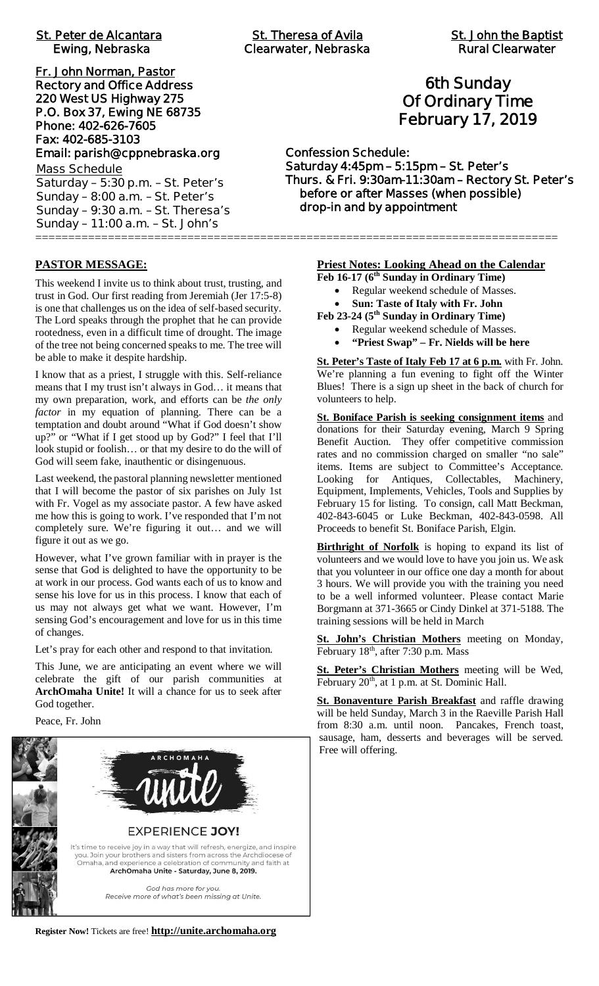| <b>Rural Clearwater</b><br><b>Clearwater, Nebraska</b>                                                                                                                                           |
|--------------------------------------------------------------------------------------------------------------------------------------------------------------------------------------------------|
| <b>6th Sunday</b><br><b>Of Ordinary Time</b><br><b>February 17, 2019</b>                                                                                                                         |
| <b>Confession Schedule:</b><br>Saturday 4:45pm - 5:15pm - St. Peter's<br>Thurs. & Fri. 9:30am-11:30am - Rectory St. Pete<br>before or after Masses (when possible)<br>drop-in and by appointment |
|                                                                                                                                                                                                  |

## **6th Sunday Of Ordinary Time February 17, 2019**

**Confession Schedule: Saturday 4:45pm – 5:15pm – St. Peter's Thurs. & Fri. 9:30am-11:30am – Rectory St. Peter's before or after Masses (when possible) drop-in and by appointment**

#### **PASTOR MESSAGE:**

This weekend I invite us to think about trust, trusting, and trust in God. Our first reading from Jeremiah (Jer 17:5-8) is one that challenges us on the idea of self-based security. The Lord speaks through the prophet that he can provide rootedness, even in a difficult time of drought. The image of the tree not being concerned speaks to me. The tree will be able to make it despite hardship.

I know that as a priest, I struggle with this. Self-reliance means that I my trust isn't always in God… it means that my own preparation, work, and efforts can be *the only factor* in my equation of planning. There can be a temptation and doubt around "What if God doesn't show up?" or "What if I get stood up by God?" I feel that I'll look stupid or foolish… or that my desire to do the will of God will seem fake, inauthentic or disingenuous.

Last weekend, the pastoral planning newsletter mentioned that I will become the pastor of six parishes on July 1st with Fr. Vogel as my associate pastor. A few have asked me how this is going to work. I've responded that I'm not completely sure. We're figuring it out… and we will figure it out as we go.

However, what I've grown familiar with in prayer is the sense that God is delighted to have the opportunity to be at work in our process. God wants each of us to know and sense his love for us in this process. I know that each of us may not always get what we want. However, I'm sensing God's encouragement and love for us in this time of changes.

Let's pray for each other and respond to that invitation.

This June, we are anticipating an event where we will celebrate the gift of our parish communities at **ArchOmaha Unite!** It will a chance for us to seek after God together.

Peace, Fr. John



**Priest Notes: Looking Ahead on the Calendar**

**Feb 16-17 (6th Sunday in Ordinary Time)**

- · Regular weekend schedule of Masses.
- · **Sun: Taste of Italy with Fr. John**

**Feb 23-24 (5th Sunday in Ordinary Time)**

- · Regular weekend schedule of Masses.
- · **"Priest Swap" Fr. Nields will be here**

**St. Peter's Taste of Italy Feb 17 at 6 p.m.** with Fr. John. We're planning a fun evening to fight off the Winter Blues! There is a sign up sheet in the back of church for volunteers to help.

**St. Boniface Parish is seeking consignment items** and donations for their Saturday evening, March 9 Spring Benefit Auction. They offer competitive commission rates and no commission charged on smaller "no sale" items. Items are subject to Committee's Acceptance. Looking for Antiques, Collectables, Machinery, Equipment, Implements, Vehicles, Tools and Supplies by February 15 for listing. To consign, call Matt Beckman, 402-843-6045 or Luke Beckman, 402-843-0598. All Proceeds to benefit St. Boniface Parish, Elgin.

**Birthright of Norfolk** is hoping to expand its list of volunteers and we would love to have you join us. We ask that you volunteer in our office one day a month for about 3 hours. We will provide you with the training you need to be a well informed volunteer. Please contact Marie Borgmann at 371-3665 or Cindy Dinkel at 371-5188. The training sessions will be held in March

**St. John's Christian Mothers** meeting on Monday, February 18<sup>th</sup>, after 7:30 p.m. Mass

**St. Peter's Christian Mothers** meeting will be Wed, February 20<sup>th</sup>, at 1 p.m. at St. Dominic Hall.

**St. Bonaventure Parish Breakfast** and raffle drawing will be held Sunday, March 3 in the Raeville Parish Hall from 8:30 a.m. until noon. Pancakes, French toast, sausage, ham, desserts and beverages will be served. Free will offering.

**Register Now!** Tickets are free! **http://unite.archomaha.org**